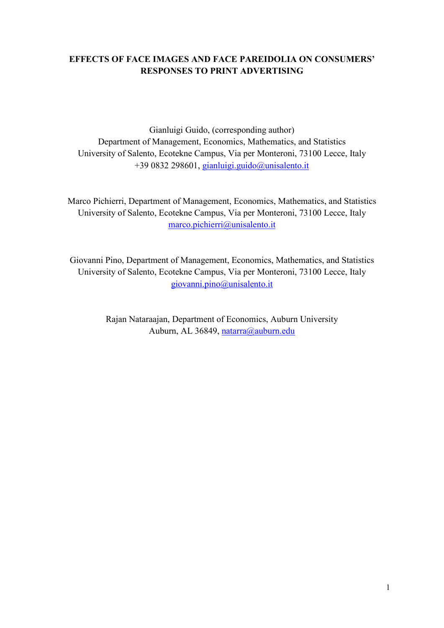## **EFFECTS OF FACE IMAGES AND FACE PAREIDOLIA ON CONSUMERS' RESPONSES TO PRINT ADVERTISING**

Gianluigi Guido, (corresponding author) Department of Management, Economics, Mathematics, and Statistics University of Salento, Ecotekne Campus, Via per Monteroni, 73100 Lecce, Italy +39 0832 298601, [gianluigi.guido@unisalento.it](mailto:gianluigi.guido@unisalento.it)

Marco Pichierri, Department of Management, Economics, Mathematics, and Statistics University of Salento, Ecotekne Campus, Via per Monteroni, 73100 Lecce, Italy [marco.pichierri@unisalento.it](mailto:marco.pichierri@unisalento.it)

Giovanni Pino, Department of Management, Economics, Mathematics, and Statistics University of Salento, Ecotekne Campus, Via per Monteroni, 73100 Lecce, Italy [giovanni.pino@unisalento.it](mailto:marco.pichierri@unisalento.it)

> Rajan Nataraajan, Department of Economics, Auburn University Auburn, AL 36849, [natarra@auburn.edu](mailto:natarra@auburn.edu)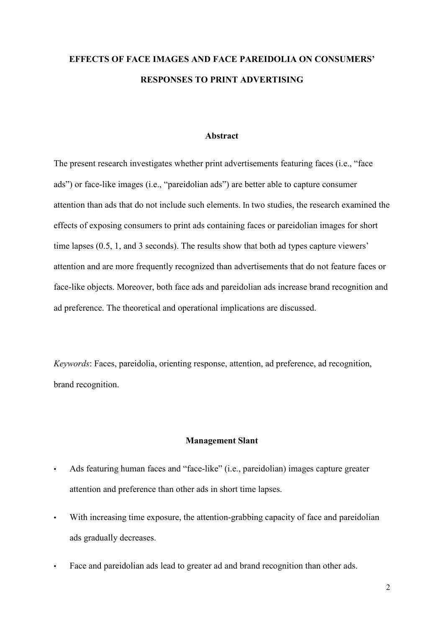# **EFFECTS OF FACE IMAGES AND FACE PAREIDOLIA ON CONSUMERS' RESPONSES TO PRINT ADVERTISING**

## **Abstract**

The present research investigates whether print advertisements featuring faces (i.e., "face ads") or face-like images (i.e., "pareidolian ads") are better able to capture consumer attention than ads that do not include such elements. In two studies, the research examined the effects of exposing consumers to print ads containing faces or pareidolian images for short time lapses (0.5, 1, and 3 seconds). The results show that both ad types capture viewers' attention and are more frequently recognized than advertisements that do not feature faces or face-like objects. Moreover, both face ads and pareidolian ads increase brand recognition and ad preference. The theoretical and operational implications are discussed.

*Keywords*: Faces, pareidolia, orienting response, attention, ad preference, ad recognition, brand recognition.

#### **Management Slant**

- Ads featuring human faces and "face-like" (i.e., pareidolian) images capture greater attention and preference than other ads in short time lapses.
- With increasing time exposure, the attention-grabbing capacity of face and pareidolian ads gradually decreases.
- Face and pareidolian ads lead to greater ad and brand recognition than other ads.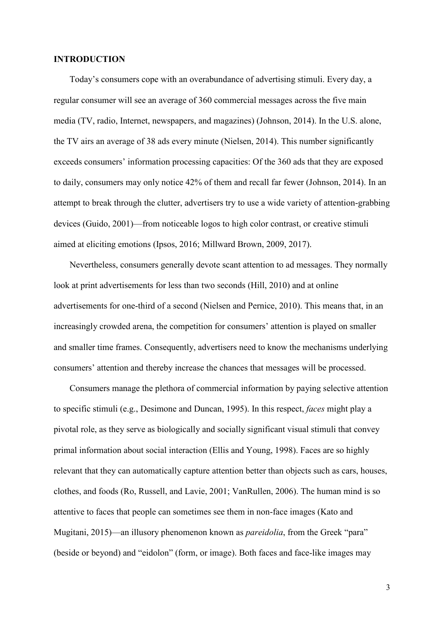## **INTRODUCTION**

Today's consumers cope with an overabundance of advertising stimuli. Every day, a regular consumer will see an average of 360 commercial messages across the five main media (TV, radio, Internet, newspapers, and magazines) (Johnson, 2014). In the U.S. alone, the TV airs an average of 38 ads every minute (Nielsen, 2014). This number significantly exceeds consumers' information processing capacities: Of the 360 ads that they are exposed to daily, consumers may only notice 42% of them and recall far fewer (Johnson, 2014). In an attempt to break through the clutter, advertisers try to use a wide variety of attention-grabbing devices (Guido, 2001)—from noticeable logos to high color contrast, or creative stimuli aimed at eliciting emotions (Ipsos, 2016; Millward Brown, 2009, 2017).

Nevertheless, consumers generally devote scant attention to ad messages. They normally look at print advertisements for less than two seconds (Hill, 2010) and at online advertisements for one-third of a second (Nielsen and Pernice, 2010). This means that, in an increasingly crowded arena, the competition for consumers' attention is played on smaller and smaller time frames. Consequently, advertisers need to know the mechanisms underlying consumers' attention and thereby increase the chances that messages will be processed.

Consumers manage the plethora of commercial information by paying selective attention to specific stimuli (e.g., Desimone and Duncan, 1995). In this respect, *faces* might play a pivotal role, as they serve as biologically and socially significant visual stimuli that convey primal information about social interaction (Ellis and Young, 1998). Faces are so highly relevant that they can automatically capture attention better than objects such as cars, houses, clothes, and foods (Ro, Russell, and Lavie, 2001; VanRullen, 2006). The human mind is so attentive to faces that people can sometimes see them in non-face images (Kato and Mugitani, 2015)—an illusory phenomenon known as *pareidolia*, from the Greek "para" (beside or beyond) and "eidolon" (form, or image). Both faces and face-like images may

3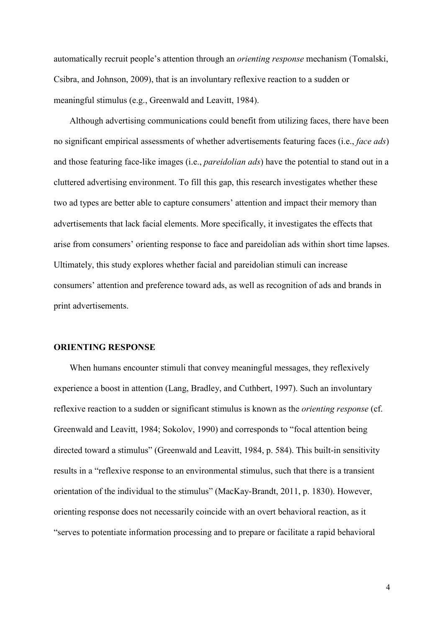automatically recruit people's attention through an *orienting response* mechanism (Tomalski, Csibra, and Johnson, 2009), that is an involuntary reflexive reaction to a sudden or meaningful stimulus (e.g., Greenwald and Leavitt, 1984).

Although advertising communications could benefit from utilizing faces, there have been no significant empirical assessments of whether advertisements featuring faces (i.e., *face ads*) and those featuring face-like images (i.e., *pareidolian ads*) have the potential to stand out in a cluttered advertising environment. To fill this gap, this research investigates whether these two ad types are better able to capture consumers' attention and impact their memory than advertisements that lack facial elements. More specifically, it investigates the effects that arise from consumers' orienting response to face and pareidolian ads within short time lapses. Ultimately, this study explores whether facial and pareidolian stimuli can increase consumers' attention and preference toward ads, as well as recognition of ads and brands in print advertisements.

## **ORIENTING RESPONSE**

When humans encounter stimuli that convey meaningful messages, they reflexively experience a boost in attention (Lang, Bradley, and Cuthbert, 1997). Such an involuntary reflexive reaction to a sudden or significant stimulus is known as the *orienting response* (cf. Greenwald and Leavitt, 1984; Sokolov, 1990) and corresponds to "focal attention being directed toward a stimulus" (Greenwald and Leavitt, 1984, p. 584). This built-in sensitivity results in a "reflexive response to an environmental stimulus, such that there is a transient orientation of the individual to the stimulus" (MacKay-Brandt, 2011, p. 1830). However, orienting response does not necessarily coincide with an overt behavioral reaction, as it "serves to potentiate information processing and to prepare or facilitate a rapid behavioral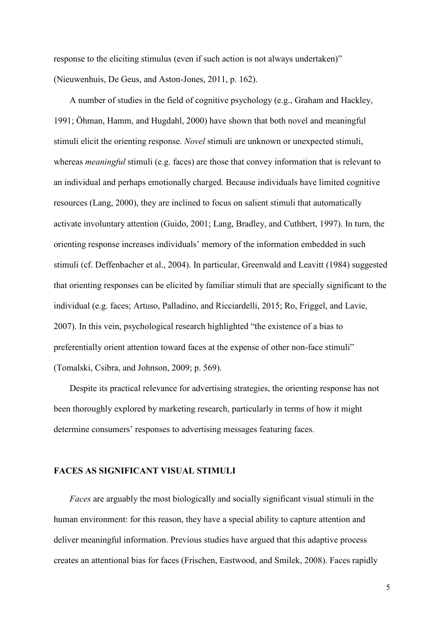response to the eliciting stimulus (even if such action is not always undertaken)" (Nieuwenhuis, De Geus, and Aston-Jones, 2011, p. 162).

A number of studies in the field of cognitive psychology (e.g., Graham and Hackley, 1991; Öhman, Hamm, and Hugdahl, 2000) have shown that both novel and meaningful stimuli elicit the orienting response. *Novel* stimuli are unknown or unexpected stimuli, whereas *meaningful* stimuli (e.g. faces) are those that convey information that is relevant to an individual and perhaps emotionally charged. Because individuals have limited cognitive resources (Lang, 2000), they are inclined to focus on salient stimuli that automatically activate involuntary attention (Guido, 2001; Lang, Bradley, and Cuthbert, 1997). In turn, the orienting response increases individuals' memory of the information embedded in such stimuli (cf. Deffenbacher et al., 2004). In particular, Greenwald and Leavitt (1984) suggested that orienting responses can be elicited by familiar stimuli that are specially significant to the individual (e.g. faces; Artuso, Palladino, and Ricciardelli, 2015; Ro, Friggel, and Lavie, 2007). In this vein, psychological research highlighted "the existence of a bias to preferentially orient attention toward faces at the expense of other non-face stimuli" (Tomalski, Csibra, and Johnson, 2009; p. 569).

Despite its practical relevance for advertising strategies, the orienting response has not been thoroughly explored by marketing research, particularly in terms of how it might determine consumers' responses to advertising messages featuring faces.

## **FACES AS SIGNIFICANT VISUAL STIMULI**

*Faces* are arguably the most biologically and socially significant visual stimuli in the human environment: for this reason, they have a special ability to capture attention and deliver meaningful information. Previous studies have argued that this adaptive process creates an attentional bias for faces (Frischen, Eastwood, and Smilek, 2008). Faces rapidly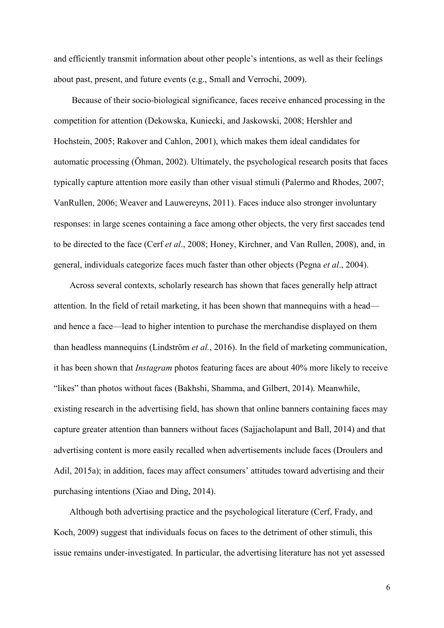and efficiently transmit information about other people's intentions, as well as their feelings about past, present, and future events (e.g., Small and Verrochi, 2009).

Because of their socio-biological significance, faces receive enhanced processing in the competition for attention (Dekowska, Kuniecki, and Jaskowski, 2008; Hershler and Hochstein, 2005; Rakover and Cahlon, 2001), which makes them ideal candidates for automatic processing (Öhman, 2002). Ultimately, the psychological research posits that faces typically capture attention more easily than other visual stimuli (Palermo and Rhodes, 2007; VanRullen, 2006; Weaver and Lauwereyns, 2011). Faces induce also stronger involuntary responses: in large scenes containing a face among other objects, the very first saccades tend to be directed to the face (Cerf *et al*., 2008; Honey, Kirchner, and Van Rullen, 2008), and, in general, individuals categorize faces much faster than other objects (Pegna *et al*., 2004).

Across several contexts, scholarly research has shown that faces generally help attract attention. In the field of retail marketing, it has been shown that mannequins with a head and hence a face—lead to higher intention to purchase the merchandise displayed on them than headless mannequins (Lindström *et al.*, 2016). In the field of marketing communication, it has been shown that *Instagram* photos featuring faces are about 40% more likely to receive "likes" than photos without faces (Bakhshi, Shamma, and Gilbert, 2014). Meanwhile, existing research in the advertising field, has shown that online banners containing faces may capture greater attention than banners without faces (Sajjacholapunt and Ball, 2014) and that advertising content is more easily recalled when advertisements include faces (Droulers and Adil, 2015a); in addition, faces may affect consumers' attitudes toward advertising and their purchasing intentions (Xiao and Ding, 2014).

Although both advertising practice and the psychological literature (Cerf, Frady, and Koch, 2009) suggest that individuals focus on faces to the detriment of other stimuli, this issue remains under-investigated. In particular, the advertising literature has not yet assessed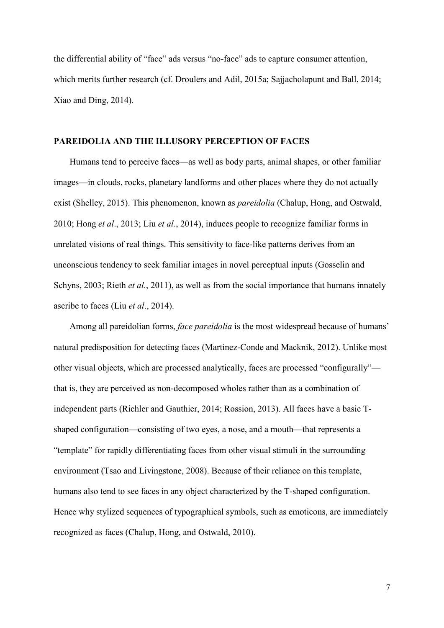the differential ability of "face" ads versus "no-face" ads to capture consumer attention, which merits further research (cf. Droulers and Adil, 2015a; Sajjacholapunt and Ball, 2014; Xiao and Ding, 2014).

## **PAREIDOLIA AND THE ILLUSORY PERCEPTION OF FACES**

Humans tend to perceive faces—as well as body parts, animal shapes, or other familiar images—in clouds, rocks, planetary landforms and other places where they do not actually exist (Shelley, 2015). This phenomenon, known as *pareidolia* (Chalup, Hong, and Ostwald, 2010; Hong *et al*., 2013; Liu *et al*., 2014), induces people to recognize familiar forms in unrelated visions of real things. This sensitivity to face-like patterns derives from an unconscious tendency to seek familiar images in novel perceptual inputs (Gosselin and Schyns, 2003; Rieth *et al.*, 2011), as well as from the social importance that humans innately ascribe to faces (Liu *et al*., 2014).

Among all pareidolian forms, *face pareidolia* is the most widespread because of humans' natural predisposition for detecting faces (Martinez-Conde and Macknik, 2012). Unlike most other visual objects, which are processed analytically, faces are processed "configurally" that is, they are perceived as non-decomposed wholes rather than as a combination of independent parts (Richler and Gauthier, 2014; Rossion, 2013). All faces have a basic Tshaped configuration—consisting of two eyes, a nose, and a mouth—that represents a "template" for rapidly differentiating faces from other visual stimuli in the surrounding environment (Tsao and Livingstone, 2008). Because of their reliance on this template, humans also tend to see faces in any object characterized by the T-shaped configuration. Hence why stylized sequences of typographical symbols, such as emoticons, are immediately recognized as faces (Chalup, Hong, and Ostwald, 2010).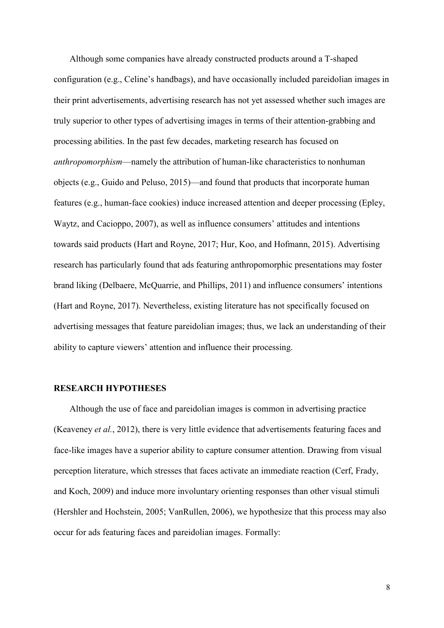Although some companies have already constructed products around a T-shaped configuration (e.g., Celine's handbags), and have occasionally included pareidolian images in their print advertisements, advertising research has not yet assessed whether such images are truly superior to other types of advertising images in terms of their attention-grabbing and processing abilities. In the past few decades, marketing research has focused on *anthropomorphism*—namely the attribution of human-like characteristics to nonhuman objects (e.g., Guido and Peluso, 2015)—and found that products that incorporate human features (e.g., human-face cookies) induce increased attention and deeper processing (Epley, Waytz, and Cacioppo, 2007), as well as influence consumers' attitudes and intentions towards said products (Hart and Royne, 2017; Hur, Koo, and Hofmann, 2015). Advertising research has particularly found that ads featuring anthropomorphic presentations may foster brand liking (Delbaere, McQuarrie, and Phillips, 2011) and influence consumers' intentions (Hart and Royne, 2017). Nevertheless, existing literature has not specifically focused on advertising messages that feature pareidolian images; thus, we lack an understanding of their ability to capture viewers' attention and influence their processing.

## **RESEARCH HYPOTHESES**

Although the use of face and pareidolian images is common in advertising practice (Keaveney *et al.*, 2012), there is very little evidence that advertisements featuring faces and face-like images have a superior ability to capture consumer attention. Drawing from visual perception literature, which stresses that faces activate an immediate reaction (Cerf, Frady, and Koch, 2009) and induce more involuntary orienting responses than other visual stimuli (Hershler and Hochstein, 2005; VanRullen, 2006), we hypothesize that this process may also occur for ads featuring faces and pareidolian images. Formally: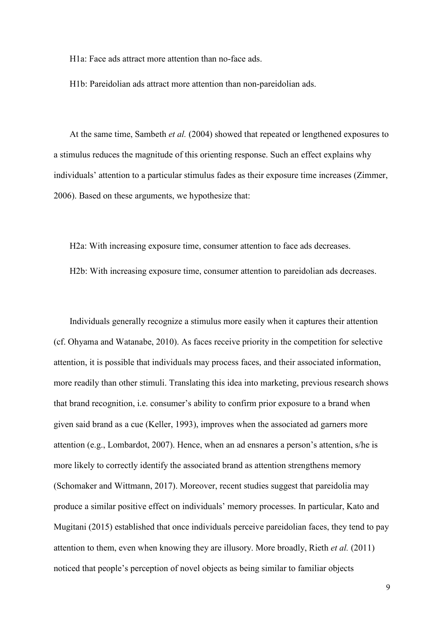H1a: Face ads attract more attention than no-face ads.

H1b: Pareidolian ads attract more attention than non-pareidolian ads.

At the same time, Sambeth *et al.* (2004) showed that repeated or lengthened exposures to a stimulus reduces the magnitude of this orienting response. Such an effect explains why individuals' attention to a particular stimulus fades as their exposure time increases (Zimmer, 2006). Based on these arguments, we hypothesize that:

H2a: With increasing exposure time, consumer attention to face ads decreases.

H2b: With increasing exposure time, consumer attention to pareidolian ads decreases.

Individuals generally recognize a stimulus more easily when it captures their attention (cf. Ohyama and Watanabe, 2010). As faces receive priority in the competition for selective attention, it is possible that individuals may process faces, and their associated information, more readily than other stimuli. Translating this idea into marketing, previous research shows that brand recognition, i.e. consumer's ability to confirm prior exposure to a brand when given said brand as a cue (Keller, 1993), improves when the associated ad garners more attention (e.g., Lombardot, 2007). Hence, when an ad ensnares a person's attention, s/he is more likely to correctly identify the associated brand as attention strengthens memory (Schomaker and Wittmann, 2017). Moreover, recent studies suggest that pareidolia may produce a similar positive effect on individuals' memory processes. In particular, Kato and Mugitani (2015) established that once individuals perceive pareidolian faces, they tend to pay attention to them, even when knowing they are illusory. More broadly, Rieth *et al.* (2011) noticed that people's perception of novel objects as being similar to familiar objects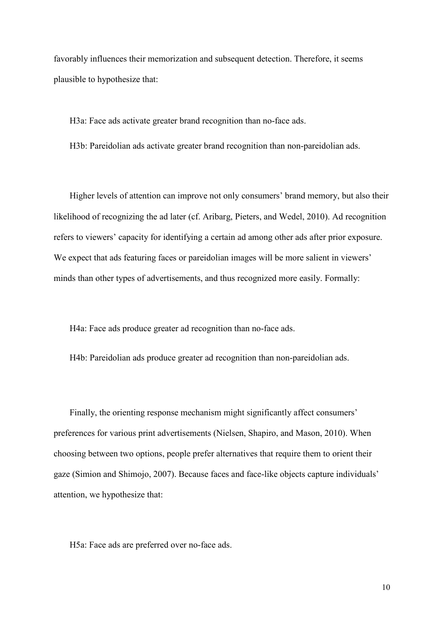favorably influences their memorization and subsequent detection. Therefore, it seems plausible to hypothesize that:

H3a: Face ads activate greater brand recognition than no-face ads.

H3b: Pareidolian ads activate greater brand recognition than non-pareidolian ads.

Higher levels of attention can improve not only consumers' brand memory, but also their likelihood of recognizing the ad later (cf. Aribarg, Pieters, and Wedel, 2010). Ad recognition refers to viewers' capacity for identifying a certain ad among other ads after prior exposure. We expect that ads featuring faces or pareidolian images will be more salient in viewers' minds than other types of advertisements, and thus recognized more easily. Formally:

H4a: Face ads produce greater ad recognition than no-face ads.

H4b: Pareidolian ads produce greater ad recognition than non-pareidolian ads.

Finally, the orienting response mechanism might significantly affect consumers' preferences for various print advertisements (Nielsen, Shapiro, and Mason, 2010). When choosing between two options, people prefer alternatives that require them to orient their gaze (Simion and Shimojo, 2007). Because faces and face-like objects capture individuals' attention, we hypothesize that:

H5a: Face ads are preferred over no-face ads.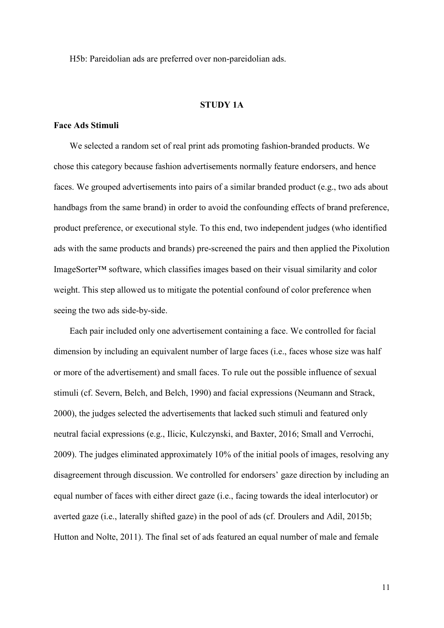H5b: Pareidolian ads are preferred over non-pareidolian ads.

### **STUDY 1A**

#### **Face Ads Stimuli**

We selected a random set of real print ads promoting fashion-branded products. We chose this category because fashion advertisements normally feature endorsers, and hence faces. We grouped advertisements into pairs of a similar branded product (e.g., two ads about handbags from the same brand) in order to avoid the confounding effects of brand preference, product preference, or executional style. To this end, two independent judges (who identified ads with the same products and brands) pre-screened the pairs and then applied the Pixolution ImageSorter™ software, which classifies images based on their visual similarity and color weight. This step allowed us to mitigate the potential confound of color preference when seeing the two ads side-by-side.

Each pair included only one advertisement containing a face. We controlled for facial dimension by including an equivalent number of large faces (i.e., faces whose size was half or more of the advertisement) and small faces. To rule out the possible influence of sexual stimuli (cf. Severn, Belch, and Belch, 1990) and facial expressions (Neumann and Strack, 2000), the judges selected the advertisements that lacked such stimuli and featured only neutral facial expressions (e.g., Ilicic, Kulczynski, and Baxter, 2016; Small and Verrochi, 2009). The judges eliminated approximately 10% of the initial pools of images, resolving any disagreement through discussion. We controlled for endorsers' gaze direction by including an equal number of faces with either direct gaze (i.e., facing towards the ideal interlocutor) or averted gaze (i.e., laterally shifted gaze) in the pool of ads (cf. Droulers and Adil, 2015b; Hutton and Nolte, 2011). The final set of ads featured an equal number of male and female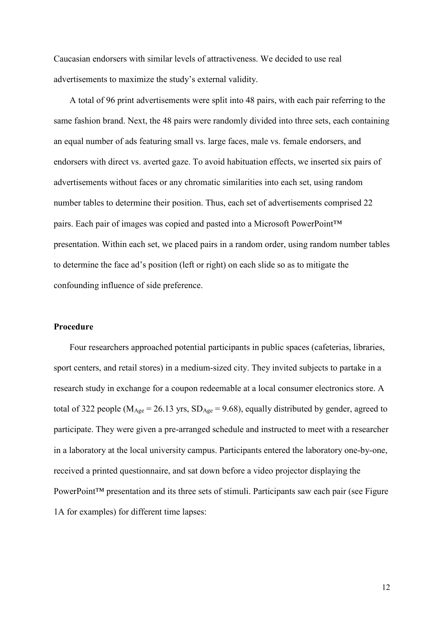Caucasian endorsers with similar levels of attractiveness. We decided to use real advertisements to maximize the study's external validity.

A total of 96 print advertisements were split into 48 pairs, with each pair referring to the same fashion brand. Next, the 48 pairs were randomly divided into three sets, each containing an equal number of ads featuring small vs. large faces, male vs. female endorsers, and endorsers with direct vs. averted gaze. To avoid habituation effects, we inserted six pairs of advertisements without faces or any chromatic similarities into each set, using random number tables to determine their position. Thus, each set of advertisements comprised 22 pairs. Each pair of images was copied and pasted into a Microsoft PowerPoint™ presentation. Within each set, we placed pairs in a random order, using random number tables to determine the face ad's position (left or right) on each slide so as to mitigate the confounding influence of side preference.

#### **Procedure**

Four researchers approached potential participants in public spaces (cafeterias, libraries, sport centers, and retail stores) in a medium-sized city. They invited subjects to partake in a research study in exchange for a coupon redeemable at a local consumer electronics store. A total of 322 people ( $M_{Age} = 26.13$  yrs,  $SD_{Age} = 9.68$ ), equally distributed by gender, agreed to participate. They were given a pre-arranged schedule and instructed to meet with a researcher in a laboratory at the local university campus. Participants entered the laboratory one-by-one, received a printed questionnaire, and sat down before a video projector displaying the PowerPoint™ presentation and its three sets of stimuli. Participants saw each pair (see Figure 1A for examples) for different time lapses: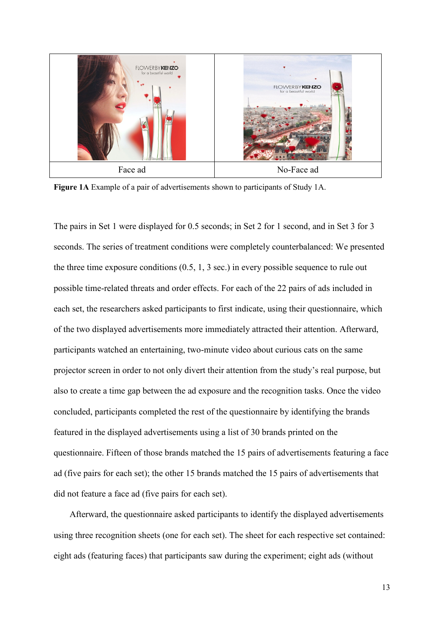

**Figure 1A** Example of a pair of advertisements shown to participants of Study 1A.

The pairs in Set 1 were displayed for 0.5 seconds; in Set 2 for 1 second, and in Set 3 for 3 seconds. The series of treatment conditions were completely counterbalanced: We presented the three time exposure conditions (0.5, 1, 3 sec.) in every possible sequence to rule out possible time-related threats and order effects. For each of the 22 pairs of ads included in each set, the researchers asked participants to first indicate, using their questionnaire, which of the two displayed advertisements more immediately attracted their attention. Afterward, participants watched an entertaining, two-minute video about curious cats on the same projector screen in order to not only divert their attention from the study's real purpose, but also to create a time gap between the ad exposure and the recognition tasks. Once the video concluded, participants completed the rest of the questionnaire by identifying the brands featured in the displayed advertisements using a list of 30 brands printed on the questionnaire. Fifteen of those brands matched the 15 pairs of advertisements featuring a face ad (five pairs for each set); the other 15 brands matched the 15 pairs of advertisements that did not feature a face ad (five pairs for each set).

Afterward, the questionnaire asked participants to identify the displayed advertisements using three recognition sheets (one for each set). The sheet for each respective set contained: eight ads (featuring faces) that participants saw during the experiment; eight ads (without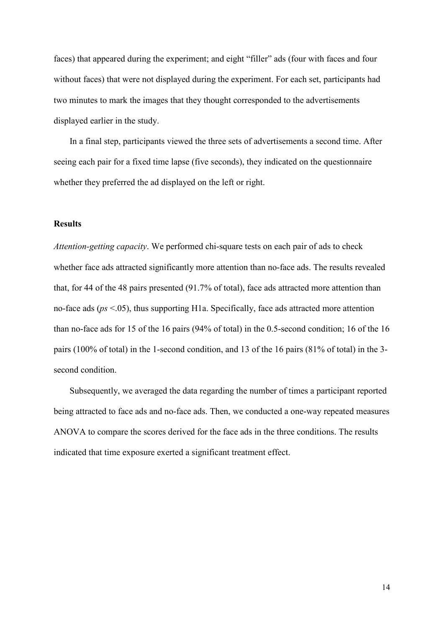faces) that appeared during the experiment; and eight "filler" ads (four with faces and four without faces) that were not displayed during the experiment. For each set, participants had two minutes to mark the images that they thought corresponded to the advertisements displayed earlier in the study.

In a final step, participants viewed the three sets of advertisements a second time. After seeing each pair for a fixed time lapse (five seconds), they indicated on the questionnaire whether they preferred the ad displayed on the left or right.

## **Results**

*Attention-getting capacity*. We performed chi-square tests on each pair of ads to check whether face ads attracted significantly more attention than no-face ads. The results revealed that, for 44 of the 48 pairs presented (91.7% of total), face ads attracted more attention than no-face ads (*ps* <.05), thus supporting H1a. Specifically, face ads attracted more attention than no-face ads for 15 of the 16 pairs (94% of total) in the 0.5-second condition; 16 of the 16 pairs (100% of total) in the 1-second condition, and 13 of the 16 pairs (81% of total) in the 3 second condition.

Subsequently, we averaged the data regarding the number of times a participant reported being attracted to face ads and no-face ads. Then, we conducted a one-way repeated measures ANOVA to compare the scores derived for the face ads in the three conditions. The results indicated that time exposure exerted a significant treatment effect.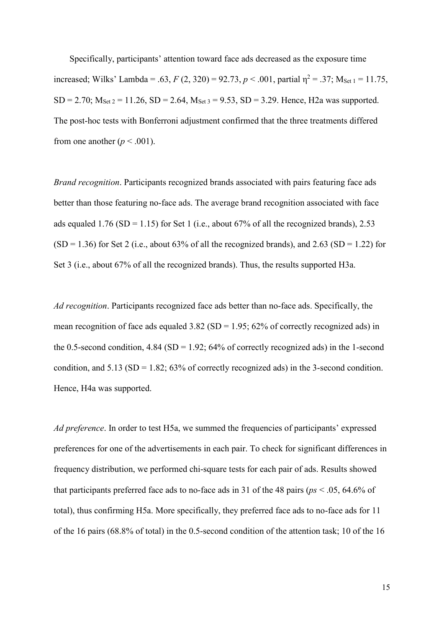Specifically, participants' attention toward face ads decreased as the exposure time increased; Wilks' Lambda = .63, *F* (2, 320) = 92.73, *p* < .001, partial  $\eta^2$  = .37; M<sub>Set 1</sub> = 11.75,  $SD = 2.70$ ;  $M_{Set 2} = 11.26$ ,  $SD = 2.64$ ,  $M_{Set 3} = 9.53$ ,  $SD = 3.29$ . Hence, H2a was supported. The post-hoc tests with Bonferroni adjustment confirmed that the three treatments differed from one another ( $p < .001$ ).

*Brand recognition*. Participants recognized brands associated with pairs featuring face ads better than those featuring no-face ads. The average brand recognition associated with face ads equaled 1.76 (SD = 1.15) for Set 1 (i.e., about 67% of all the recognized brands), 2.53  $(SD = 1.36)$  for Set 2 (i.e., about 63% of all the recognized brands), and 2.63 (SD = 1.22) for Set 3 (i.e., about 67% of all the recognized brands). Thus, the results supported H3a.

*Ad recognition*. Participants recognized face ads better than no-face ads. Specifically, the mean recognition of face ads equaled  $3.82$  (SD = 1.95; 62% of correctly recognized ads) in the 0.5-second condition,  $4.84$  (SD = 1.92;  $64\%$  of correctly recognized ads) in the 1-second condition, and  $5.13$  (SD = 1.82; 63% of correctly recognized ads) in the 3-second condition. Hence, H4a was supported.

*Ad preference*. In order to test H5a, we summed the frequencies of participants' expressed preferences for one of the advertisements in each pair. To check for significant differences in frequency distribution, we performed chi-square tests for each pair of ads. Results showed that participants preferred face ads to no-face ads in 31 of the 48 pairs (*ps* < .05, 64.6% of total), thus confirming H5a. More specifically, they preferred face ads to no-face ads for 11 of the 16 pairs (68.8% of total) in the 0.5-second condition of the attention task; 10 of the 16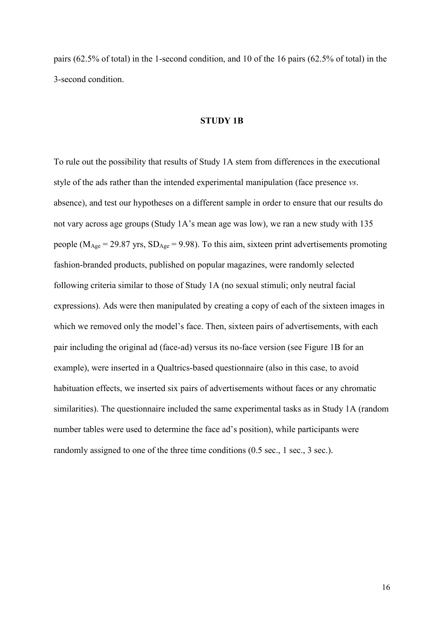pairs (62.5% of total) in the 1-second condition, and 10 of the 16 pairs (62.5% of total) in the 3-second condition.

## **STUDY 1B**

To rule out the possibility that results of Study 1A stem from differences in the executional style of the ads rather than the intended experimental manipulation (face presence *vs*. absence), and test our hypotheses on a different sample in order to ensure that our results do not vary across age groups (Study 1A's mean age was low), we ran a new study with 135 people ( $M<sub>Age</sub> = 29.87$  yrs,  $SD<sub>Age</sub> = 9.98$ ). To this aim, sixteen print advertisements promoting fashion-branded products, published on popular magazines, were randomly selected following criteria similar to those of Study 1A (no sexual stimuli; only neutral facial expressions). Ads were then manipulated by creating a copy of each of the sixteen images in which we removed only the model's face. Then, sixteen pairs of advertisements, with each pair including the original ad (face-ad) versus its no-face version (see Figure 1B for an example), were inserted in a Qualtrics-based questionnaire (also in this case, to avoid habituation effects, we inserted six pairs of advertisements without faces or any chromatic similarities). The questionnaire included the same experimental tasks as in Study 1A (random number tables were used to determine the face ad's position), while participants were randomly assigned to one of the three time conditions (0.5 sec., 1 sec., 3 sec.).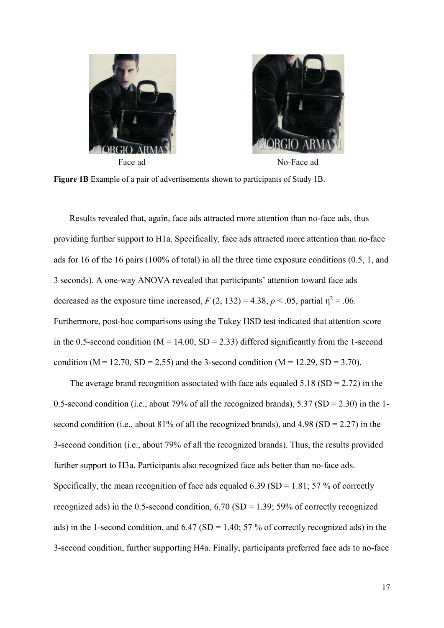



**Figure 1B** Example of a pair of advertisements shown to participants of Study 1B.

Results revealed that, again, face ads attracted more attention than no-face ads, thus providing further support to H1a. Specifically, face ads attracted more attention than no-face ads for 16 of the 16 pairs (100% of total) in all the three time exposure conditions (0.5, 1, and 3 seconds). A one-way ANOVA revealed that participants' attention toward face ads decreased as the exposure time increased,  $F(2, 132) = 4.38$ ,  $p < .05$ , partial  $p^2 = .06$ . Furthermore, post-hoc comparisons using the Tukey HSD test indicated that attention score in the 0.5-second condition ( $M = 14.00$ ,  $SD = 2.33$ ) differed significantly from the 1-second condition ( $M = 12.70$ ,  $SD = 2.55$ ) and the 3-second condition ( $M = 12.29$ ,  $SD = 3.70$ ).

The average brand recognition associated with face ads equaled  $5.18$  (SD = 2.72) in the 0.5-second condition (i.e., about 79% of all the recognized brands),  $5.37$  (SD = 2.30) in the 1second condition (i.e., about  $81\%$  of all the recognized brands), and  $4.98$  (SD = 2.27) in the 3-second condition (i.e., about 79% of all the recognized brands). Thus, the results provided further support to H3a. Participants also recognized face ads better than no-face ads. Specifically, the mean recognition of face ads equaled 6.39 (SD = 1.81; 57 % of correctly recognized ads) in the 0.5-second condition,  $6.70$  (SD = 1.39; 59% of correctly recognized ads) in the 1-second condition, and  $6.47$  (SD = 1.40; 57 % of correctly recognized ads) in the 3-second condition, further supporting H4a. Finally, participants preferred face ads to no-face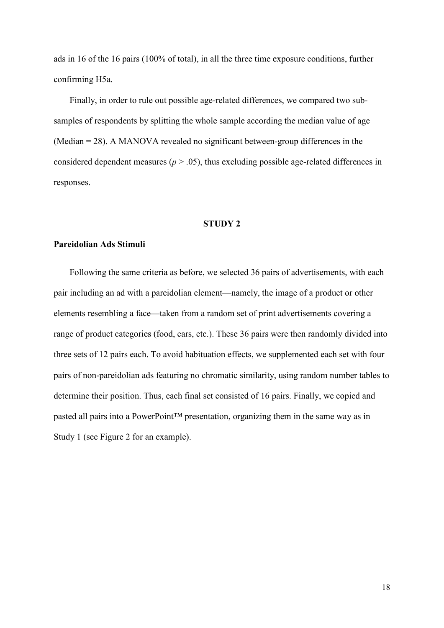ads in 16 of the 16 pairs (100% of total), in all the three time exposure conditions, further confirming H5a.

Finally, in order to rule out possible age-related differences, we compared two subsamples of respondents by splitting the whole sample according the median value of age (Median = 28). A MANOVA revealed no significant between-group differences in the considered dependent measures ( $p > .05$ ), thus excluding possible age-related differences in responses.

#### **STUDY 2**

## **Pareidolian Ads Stimuli**

Following the same criteria as before, we selected 36 pairs of advertisements, with each pair including an ad with a pareidolian element—namely, the image of a product or other elements resembling a face—taken from a random set of print advertisements covering a range of product categories (food, cars, etc.). These 36 pairs were then randomly divided into three sets of 12 pairs each. To avoid habituation effects, we supplemented each set with four pairs of non-pareidolian ads featuring no chromatic similarity, using random number tables to determine their position. Thus, each final set consisted of 16 pairs. Finally, we copied and pasted all pairs into a PowerPoint™ presentation, organizing them in the same way as in Study 1 (see Figure 2 for an example).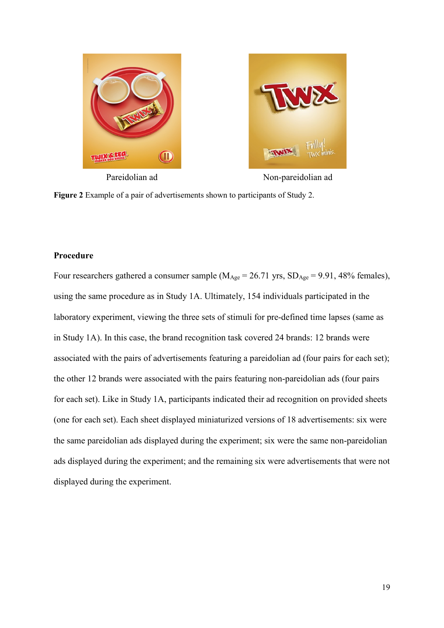



Pareidolian ad Non-pareidolian ad



## **Procedure**

Four researchers gathered a consumer sample ( $M_{Age} = 26.71$  yrs,  $SD_{Age} = 9.91$ , 48% females), using the same procedure as in Study 1A. Ultimately, 154 individuals participated in the laboratory experiment, viewing the three sets of stimuli for pre-defined time lapses (same as in Study 1A). In this case, the brand recognition task covered 24 brands: 12 brands were associated with the pairs of advertisements featuring a pareidolian ad (four pairs for each set); the other 12 brands were associated with the pairs featuring non-pareidolian ads (four pairs for each set). Like in Study 1A, participants indicated their ad recognition on provided sheets (one for each set). Each sheet displayed miniaturized versions of 18 advertisements: six were the same pareidolian ads displayed during the experiment; six were the same non-pareidolian ads displayed during the experiment; and the remaining six were advertisements that were not displayed during the experiment.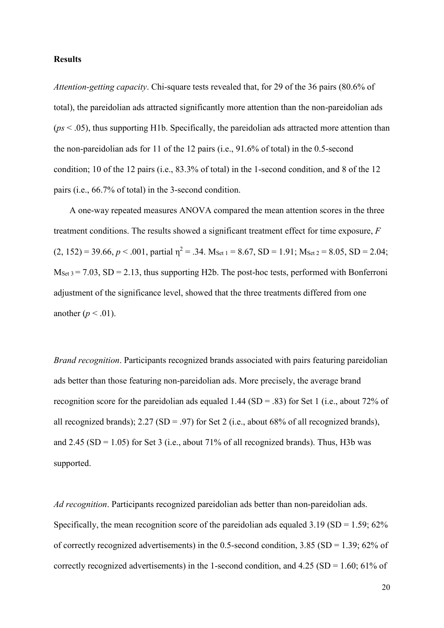### **Results**

*Attention-getting capacity*. Chi-square tests revealed that, for 29 of the 36 pairs (80.6% of total), the pareidolian ads attracted significantly more attention than the non-pareidolian ads (*ps* < .05), thus supporting H1b. Specifically, the pareidolian ads attracted more attention than the non-pareidolian ads for 11 of the 12 pairs (i.e., 91.6% of total) in the 0.5-second condition; 10 of the 12 pairs (i.e., 83.3% of total) in the 1-second condition, and 8 of the 12 pairs (i.e., 66.7% of total) in the 3-second condition.

A one-way repeated measures ANOVA compared the mean attention scores in the three treatment conditions. The results showed a significant treatment effect for time exposure, *F*   $(2, 152) = 39.66$ ,  $p < .001$ , partial  $\eta^2 = .34$ . M<sub>Set 1</sub> = 8.67, SD = 1.91; M<sub>Set 2</sub> = 8.05, SD = 2.04;  $M_{\text{Set 3}} = 7.03$ , SD = 2.13, thus supporting H2b. The post-hoc tests, performed with Bonferroni adjustment of the significance level, showed that the three treatments differed from one another  $(p < .01)$ .

*Brand recognition*. Participants recognized brands associated with pairs featuring pareidolian ads better than those featuring non-pareidolian ads. More precisely, the average brand recognition score for the pareidolian ads equaled 1.44 (SD = .83) for Set 1 (i.e., about 72% of all recognized brands);  $2.27$  (SD = .97) for Set 2 (i.e., about 68% of all recognized brands), and 2.45 (SD = 1.05) for Set 3 (i.e., about 71% of all recognized brands). Thus, H3b was supported.

*Ad recognition*. Participants recognized pareidolian ads better than non-pareidolian ads. Specifically, the mean recognition score of the pareidolian ads equaled  $3.19$  (SD =  $1.59$ ;  $62\%$ ) of correctly recognized advertisements) in the 0.5-second condition,  $3.85$  (SD = 1.39; 62% of correctly recognized advertisements) in the 1-second condition, and  $4.25$  (SD = 1.60; 61% of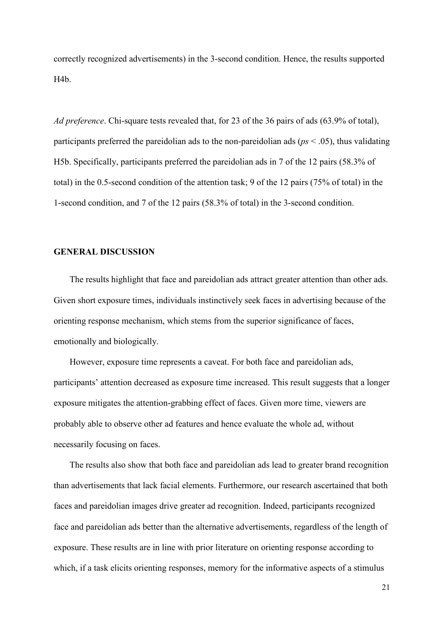correctly recognized advertisements) in the 3-second condition. Hence, the results supported H4b.

*Ad preference*. Chi-square tests revealed that, for 23 of the 36 pairs of ads (63.9% of total), participants preferred the pareidolian ads to the non-pareidolian ads (*ps* < .05), thus validating H5b. Specifically, participants preferred the pareidolian ads in 7 of the 12 pairs (58.3% of total) in the 0.5-second condition of the attention task; 9 of the 12 pairs (75% of total) in the 1-second condition, and 7 of the 12 pairs (58.3% of total) in the 3-second condition.

## **GENERAL DISCUSSION**

The results highlight that face and pareidolian ads attract greater attention than other ads. Given short exposure times, individuals instinctively seek faces in advertising because of the orienting response mechanism, which stems from the superior significance of faces, emotionally and biologically.

However, exposure time represents a caveat. For both face and pareidolian ads, participants' attention decreased as exposure time increased. This result suggests that a longer exposure mitigates the attention-grabbing effect of faces. Given more time, viewers are probably able to observe other ad features and hence evaluate the whole ad, without necessarily focusing on faces.

The results also show that both face and pareidolian ads lead to greater brand recognition than advertisements that lack facial elements. Furthermore, our research ascertained that both faces and pareidolian images drive greater ad recognition. Indeed, participants recognized face and pareidolian ads better than the alternative advertisements, regardless of the length of exposure. These results are in line with prior literature on orienting response according to which, if a task elicits orienting responses, memory for the informative aspects of a stimulus

21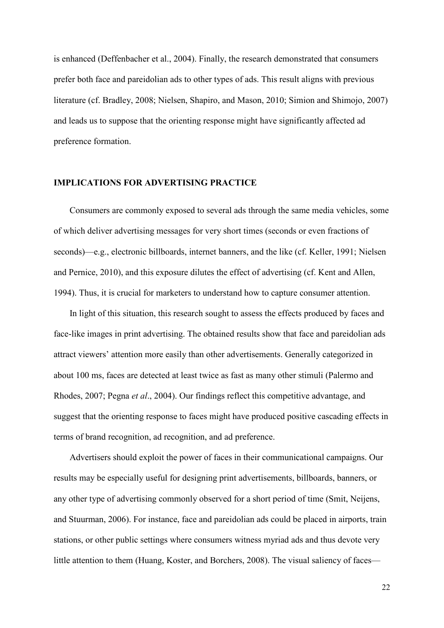is enhanced (Deffenbacher et al., 2004). Finally, the research demonstrated that consumers prefer both face and pareidolian ads to other types of ads. This result aligns with previous literature (cf. Bradley, 2008; Nielsen, Shapiro, and Mason, 2010; Simion and Shimojo, 2007) and leads us to suppose that the orienting response might have significantly affected ad preference formation.

### **IMPLICATIONS FOR ADVERTISING PRACTICE**

Consumers are commonly exposed to several ads through the same media vehicles, some of which deliver advertising messages for very short times (seconds or even fractions of seconds)—e.g., electronic billboards, internet banners, and the like (cf. Keller, 1991; Nielsen and Pernice, 2010), and this exposure dilutes the effect of advertising (cf. Kent and Allen, 1994). Thus, it is crucial for marketers to understand how to capture consumer attention.

In light of this situation, this research sought to assess the effects produced by faces and face-like images in print advertising. The obtained results show that face and pareidolian ads attract viewers' attention more easily than other advertisements. Generally categorized in about 100 ms, faces are detected at least twice as fast as many other stimuli (Palermo and Rhodes, 2007; Pegna *et al*., 2004). Our findings reflect this competitive advantage, and suggest that the orienting response to faces might have produced positive cascading effects in terms of brand recognition, ad recognition, and ad preference.

Advertisers should exploit the power of faces in their communicational campaigns. Our results may be especially useful for designing print advertisements, billboards, banners, or any other type of advertising commonly observed for a short period of time (Smit, Neijens, and Stuurman, 2006). For instance, face and pareidolian ads could be placed in airports, train stations, or other public settings where consumers witness myriad ads and thus devote very little attention to them (Huang, Koster, and Borchers, 2008). The visual saliency of faces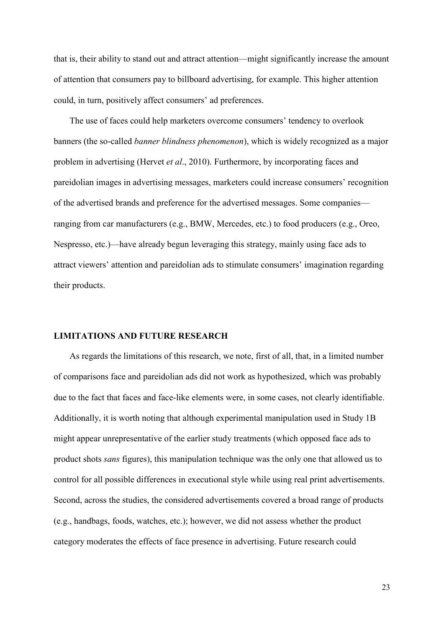that is, their ability to stand out and attract attention—might significantly increase the amount of attention that consumers pay to billboard advertising, for example. This higher attention could, in turn, positively affect consumers' ad preferences.

The use of faces could help marketers overcome consumers' tendency to overlook banners (the so-called *banner blindness phenomenon*), which is widely recognized as a major problem in advertising (Hervet *et al*., 2010). Furthermore, by incorporating faces and pareidolian images in advertising messages, marketers could increase consumers' recognition of the advertised brands and preference for the advertised messages. Some companies ranging from car manufacturers (e.g., BMW, Mercedes, etc.) to food producers (e.g., Oreo, Nespresso, etc.)—have already begun leveraging this strategy, mainly using face ads to attract viewers' attention and pareidolian ads to stimulate consumers' imagination regarding their products.

#### **LIMITATIONS AND FUTURE RESEARCH**

As regards the limitations of this research, we note, first of all, that, in a limited number of comparisons face and pareidolian ads did not work as hypothesized, which was probably due to the fact that faces and face-like elements were, in some cases, not clearly identifiable. Additionally, it is worth noting that although experimental manipulation used in Study 1B might appear unrepresentative of the earlier study treatments (which opposed face ads to product shots *sans* figures), this manipulation technique was the only one that allowed us to control for all possible differences in executional style while using real print advertisements. Second, across the studies, the considered advertisements covered a broad range of products (e.g., handbags, foods, watches, etc.); however, we did not assess whether the product category moderates the effects of face presence in advertising. Future research could

23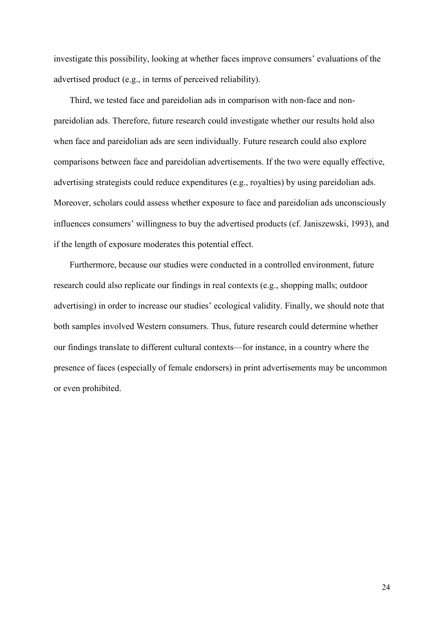investigate this possibility, looking at whether faces improve consumers' evaluations of the advertised product (e.g., in terms of perceived reliability).

Third, we tested face and pareidolian ads in comparison with non-face and nonpareidolian ads. Therefore, future research could investigate whether our results hold also when face and pareidolian ads are seen individually. Future research could also explore comparisons between face and pareidolian advertisements. If the two were equally effective, advertising strategists could reduce expenditures (e.g., royalties) by using pareidolian ads. Moreover, scholars could assess whether exposure to face and pareidolian ads unconsciously influences consumers' willingness to buy the advertised products (cf. Janiszewski, 1993), and if the length of exposure moderates this potential effect.

Furthermore, because our studies were conducted in a controlled environment, future research could also replicate our findings in real contexts (e.g., shopping malls; outdoor advertising) in order to increase our studies' ecological validity. Finally, we should note that both samples involved Western consumers. Thus, future research could determine whether our findings translate to different cultural contexts—for instance, in a country where the presence of faces (especially of female endorsers) in print advertisements may be uncommon or even prohibited.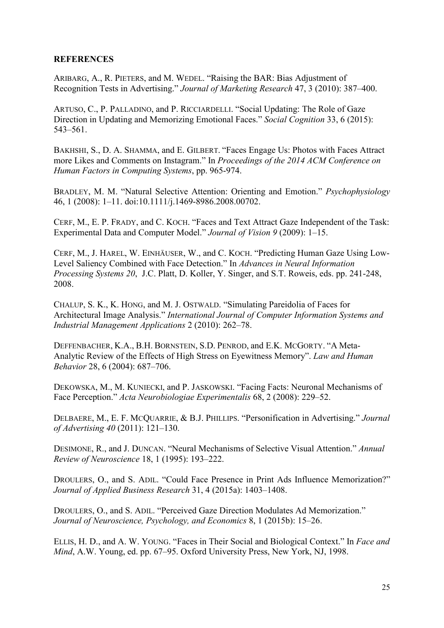## **REFERENCES**

ARIBARG, A., R. PIETERS, and M. WEDEL. "Raising the BAR: Bias Adjustment of Recognition Tests in Advertising." *Journal of Marketing Research* 47, 3 (2010): 387–400.

ARTUSO, C., P. PALLADINO, and P. RICCIARDELLI. "Social Updating: The Role of Gaze Direction in Updating and Memorizing Emotional Faces." *Social Cognition* 33, 6 (2015): 543–561.

BAKHSHI, S., D. A. SHAMMA, and E. GILBERT. "Faces Engage Us: Photos with Faces Attract more Likes and Comments on Instagram." In *Proceedings of the 2014 ACM Conference on Human Factors in Computing Systems*, pp. 965-974.

BRADLEY, M. M. "Natural Selective Attention: Orienting and Emotion." *Psychophysiology* 46, 1 (2008): 1–11. doi:10.1111/j.1469-8986.2008.00702.

CERF, M., E. P. FRADY, and C. KOCH. "Faces and Text Attract Gaze Independent of the Task: Experimental Data and Computer Model." *Journal of Vision 9* (2009): 1–15.

CERF, M., J. HAREL, W. EINHÄUSER, W., and C. KOCH. "Predicting Human Gaze Using Low-Level Saliency Combined with Face Detection." In *Advances in Neural Information Processing Systems 20*, J.C. Platt, D. Koller, Y. Singer, and S.T. Roweis, eds. pp. 241-248, 2008.

CHALUP, S. K., K. HONG, and M. J. OSTWALD. "Simulating Pareidolia of Faces for Architectural Image Analysis." *International Journal of Computer Information Systems and Industrial Management Applications* 2 (2010): 262–78.

DEFFENBACHER, K.A., B.H. BORNSTEIN, S.D. PENROD, and E.K. MCGORTY. "A Meta-Analytic Review of the Effects of High Stress on Eyewitness Memory". *Law and Human Behavior* 28, 6 (2004): 687–706.

DEKOWSKA, M., M. KUNIECKI, and P. JASKOWSKI. "Facing Facts: Neuronal Mechanisms of Face Perception." *Acta Neurobiologiae Experimentalis* 68, 2 (2008): 229–52.

DELBAERE, M., E. F. MCQUARRIE, & B.J. PHILLIPS. "Personification in Advertising." *Journal of Advertising 40* (2011): 121–130.

DESIMONE, R., and J. DUNCAN. "Neural Mechanisms of Selective Visual Attention." *Annual Review of Neuroscience* 18, 1 (1995): 193–222.

DROULERS, O., and S. ADIL. "Could Face Presence in Print Ads Influence Memorization?" *Journal of Applied Business Research* 31, 4 (2015a): 1403–1408.

DROULERS, O., and S. ADIL. "Perceived Gaze Direction Modulates Ad Memorization." *Journal of Neuroscience, Psychology, and Economics* 8, 1 (2015b): 15–26.

ELLIS, H. D., and A. W. YOUNG. "Faces in Their Social and Biological Context." In *Face and Mind*, A.W. Young, ed. pp. 67–95. Oxford University Press, New York, NJ, 1998.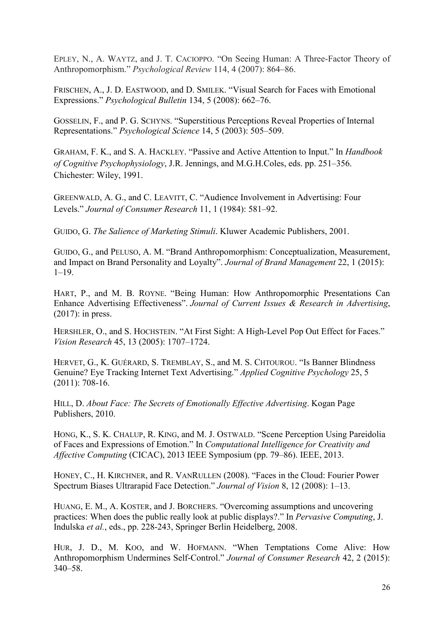EPLEY, N., A. WAYTZ, and J. T. CACIOPPO. "On Seeing Human: A Three-Factor Theory of Anthropomorphism." *Psychological Review* 114, 4 (2007): 864–86.

FRISCHEN, A., J. D. EASTWOOD, and D. SMILEK. "Visual Search for Faces with Emotional Expressions." *Psychological Bulletin* 134, 5 (2008): 662–76.

GOSSELIN, F., and P. G. SCHYNS. "Superstitious Perceptions Reveal Properties of Internal Representations." *Psychological Science* 14, 5 (2003): 505–509.

GRAHAM, F. K., and S. A. HACKLEY. "Passive and Active Attention to Input." In *Handbook of Cognitive Psychophysiology*, J.R. Jennings, and M.G.H.Coles, eds. pp. 251–356. Chichester: Wiley, 1991.

GREENWALD, A. G., and C. LEAVITT, C. "Audience Involvement in Advertising: Four Levels." *Journal of Consumer Research* 11, 1 (1984): 581–92.

GUIDO, G. *The Salience of Marketing Stimuli*. Kluwer Academic Publishers, 2001.

GUIDO, G., and PELUSO, A. M. "Brand Anthropomorphism: Conceptualization, Measurement, and Impact on Brand Personality and Loyalty". *Journal of Brand Management* 22, 1 (2015): 1–19.

HART, P., and M. B. ROYNE. "Being Human: How Anthropomorphic Presentations Can Enhance Advertising Effectiveness". *Journal of Current Issues & Research in Advertising*, (2017): in press.

HERSHLER, O., and S. HOCHSTEIN. "At First Sight: A High-Level Pop Out Effect for Faces." *Vision Research* 45, 13 (2005): 1707–1724.

HERVET, G., K. GUÉRARD, S. TREMBLAY, S., and M. S. CHTOUROU. "Is Banner Blindness Genuine? Eye Tracking Internet Text Advertising." *Applied Cognitive Psychology* 25, 5 (2011): 708-16.

HILL, D. *About Face: The Secrets of Emotionally Effective Advertising*. Kogan Page Publishers, 2010.

HONG, K., S. K. CHALUP, R. KING, and M. J. OSTWALD. "Scene Perception Using Pareidolia of Faces and Expressions of Emotion." In *Computational Intelligence for Creativity and Affective Computing* (CICAC), 2013 IEEE Symposium (pp. 79–86). IEEE, 2013.

HONEY, C., H. KIRCHNER, and R. VANRULLEN (2008). "Faces in the Cloud: Fourier Power Spectrum Biases Ultrarapid Face Detection." *Journal of Vision* 8, 12 (2008): 1–13.

HUANG, E. M., A. KOSTER, and J. BORCHERS. "Overcoming assumptions and uncovering practices: When does the public really look at public displays?." In *Pervasive Computing*, J. Indulska *et al.*, eds., pp. 228-243, Springer Berlin Heidelberg, 2008.

HUR, J. D., M. KOO, and W. HOFMANN. "When Temptations Come Alive: How Anthropomorphism Undermines Self-Control." *Journal of Consumer Research* 42, 2 (2015): 340–58.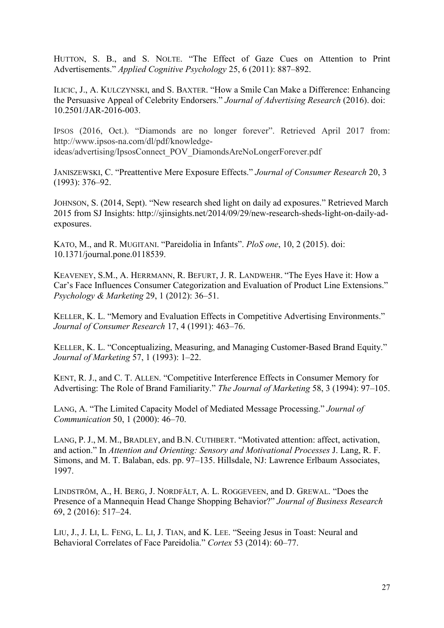HUTTON, S. B., and S. NOLTE. "The Effect of Gaze Cues on Attention to Print Advertisements." *Applied Cognitive Psychology* 25, 6 (2011): 887–892.

ILICIC, J., A. KULCZYNSKI, and S. BAXTER. "How a Smile Can Make a Difference: Enhancing the Persuasive Appeal of Celebrity Endorsers." *Journal of Advertising Research* (2016). doi: 10.2501/JAR-2016-003.

IPSOS (2016, Oct.). "Diamonds are no longer forever". Retrieved April 2017 from: http://www.ipsos-na.com/dl/pdf/knowledgeideas/advertising/IpsosConnect\_POV\_DiamondsAreNoLongerForever.pdf

JANISZEWSKI, C. "Preattentive Mere Exposure Effects." *Journal of Consumer Research* 20, 3 (1993): 376–92.

JOHNSON, S. (2014, Sept). "New research shed light on daily ad exposures." Retrieved March 2015 from SJ Insights: http://sjinsights.net/2014/09/29/new-research-sheds-light-on-daily-adexposures.

KATO, M., and R. MUGITANI. "Pareidolia in Infants". *PloS one*, 10, 2 (2015). doi: 10.1371/journal.pone.0118539.

KEAVENEY, S.M., A. HERRMANN, R. BEFURT, J. R. LANDWEHR. "The Eyes Have it: How a Car's Face Influences Consumer Categorization and Evaluation of Product Line Extensions." *Psychology & Marketing* 29, 1 (2012): 36–51.

KELLER, K. L. "Memory and Evaluation Effects in Competitive Advertising Environments." *Journal of Consumer Research* 17, 4 (1991): 463–76.

KELLER, K. L. "Conceptualizing, Measuring, and Managing Customer-Based Brand Equity." *Journal of Marketing* 57, 1 (1993): 1–22.

KENT, R. J., and C. T. ALLEN. "Competitive Interference Effects in Consumer Memory for Advertising: The Role of Brand Familiarity." *The Journal of Marketing* 58, 3 (1994): 97–105.

LANG, A. "The Limited Capacity Model of Mediated Message Processing." *Journal of Communication* 50, 1 (2000): 46–70.

LANG, P. J., M. M., BRADLEY, and B.N. CUTHBERT. "Motivated attention: affect, activation, and action." In *Attention and Orienting: Sensory and Motivational Processes* J. Lang, R. F. Simons, and M. T. Balaban, eds. pp. 97–135. Hillsdale, NJ: Lawrence Erlbaum Associates, 1997.

LINDSTRÖM, A., H. BERG, J. NORDFÄLT, A. L. ROGGEVEEN, and D. GREWAL. "Does the Presence of a Mannequin Head Change Shopping Behavior?" *Journal of Business Research* 69, 2 (2016): 517–24.

LIU, J., J. LI, L. FENG, L. LI, J. TIAN, and K. LEE. "Seeing Jesus in Toast: Neural and Behavioral Correlates of Face Pareidolia." *Cortex* 53 (2014): 60–77.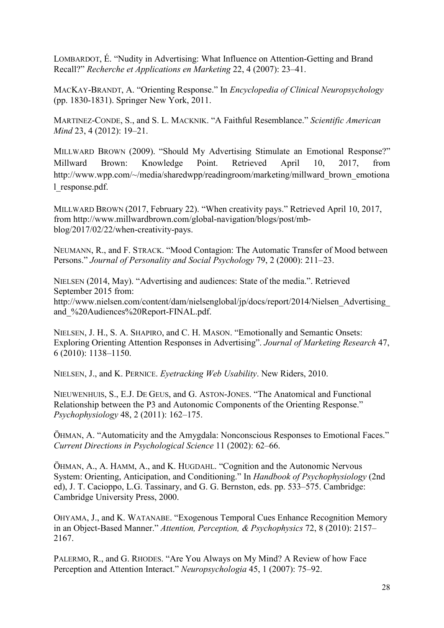LOMBARDOT, É. "Nudity in Advertising: What Influence on Attention-Getting and Brand Recall?" *Recherche et Applications en Marketing* 22, 4 (2007): 23–41.

MACKAY-BRANDT, A. "Orienting Response." In *Encyclopedia of Clinical Neuropsychology* (pp. 1830-1831). Springer New York, 2011.

MARTINEZ-CONDE, S., and S. L. MACKNIK. "A Faithful Resemblance." *Scientific American Mind* 23, 4 (2012): 19–21.

MILLWARD BROWN (2009). "Should My Advertising Stimulate an Emotional Response?" Millward Brown: Knowledge Point. Retrieved April 10, 2017, from http://www.wpp.com/~/media/sharedwpp/readingroom/marketing/millward\_brown\_emotiona l\_response.pdf.

MILLWARD BROWN (2017, February 22). "When creativity pays." Retrieved April 10, 2017, from http://www.millwardbrown.com/global-navigation/blogs/post/mbblog/2017/02/22/when-creativity-pays.

NEUMANN, R., and F. STRACK. "Mood Contagion: The Automatic Transfer of Mood between Persons." *Journal of Personality and Social Psychology* 79, 2 (2000): 211–23.

NIELSEN (2014, May). "Advertising and audiences: State of the media.". Retrieved September 2015 from: http://www.nielsen.com/content/dam/nielsenglobal/jp/docs/report/2014/Nielsen\_Advertising\_ and\_%20Audiences%20Report-FINAL.pdf.

NIELSEN, J. H., S. A. SHAPIRO, and C. H. MASON. "Emotionally and Semantic Onsets: Exploring Orienting Attention Responses in Advertising". *Journal of Marketing Research* 47, 6 (2010): 1138–1150.

NIELSEN, J., and K. PERNICE. *Eyetracking Web Usability*. New Riders, 2010.

NIEUWENHUIS, S., E.J. DE GEUS, and G. ASTON-JONES. "The Anatomical and Functional Relationship between the P3 and Autonomic Components of the Orienting Response." *Psychophysiology* 48, 2 (2011): 162–175.

ÖHMAN, A. "Automaticity and the Amygdala: Nonconscious Responses to Emotional Faces." *Current Directions in Psychological Science* 11 (2002): 62–66.

ÖHMAN, A., A. HAMM, A., and K. HUGDAHL. "Cognition and the Autonomic Nervous System: Orienting, Anticipation, and Conditioning." In *Handbook of Psychophysiology* (2nd ed), J. T. Cacioppo, L.G. Tassinary, and G. G. Bernston, eds. pp. 533–575. Cambridge: Cambridge University Press, 2000.

OHYAMA, J., and K. WATANABE. "Exogenous Temporal Cues Enhance Recognition Memory in an Object-Based Manner." *Attention, Perception, & Psychophysics* 72, 8 (2010): 2157– 2167.

PALERMO, R., and G. RHODES. "Are You Always on My Mind? A Review of how Face Perception and Attention Interact." *Neuropsychologia* 45, 1 (2007): 75–92.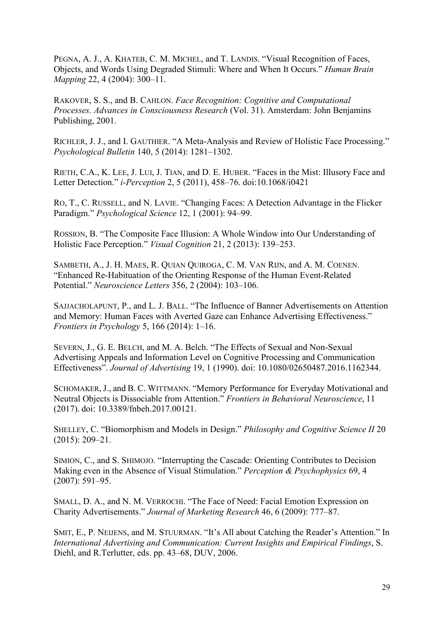PEGNA, A. J., A. KHATEB, C. M. MICHEL, and T. LANDIS. "Visual Recognition of Faces, Objects, and Words Using Degraded Stimuli: Where and When It Occurs." *Human Brain Mapping* 22, 4 (2004): 300–11.

RAKOVER, S. S., and B. CAHLON. *Face Recognition: Cognitive and Computational Processes. Advances in Consciousness Research* (Vol. 31). Amsterdam: John Benjamins Publishing, 2001.

RICHLER, J. J., and I. GAUTHIER. "A Meta-Analysis and Review of Holistic Face Processing." *Psychological Bulletin* 140, 5 (2014): 1281–1302.

RIETH, C.A., K. LEE, J. LUI, J. TIAN, and D. E. HUBER. "Faces in the Mist: Illusory Face and Letter Detection." *i-Perception* 2, 5 (2011), 458–76. doi:10.1068/i0421

RO, T., C. RUSSELL, and N. LAVIE. "Changing Faces: A Detection Advantage in the Flicker Paradigm." *Psychological Science* 12, 1 (2001): 94–99.

ROSSION, B. "The Composite Face Illusion: A Whole Window into Our Understanding of Holistic Face Perception." *Visual Cognition* 21, 2 (2013): 139–253.

SAMBETH, A., J. H. MAES, R. QUIAN QUIROGA, C. M. VAN RIJN, and A. M. COENEN. "Enhanced Re-Habituation of the Orienting Response of the Human Event-Related Potential." *Neuroscience Letters* 356, 2 (2004): 103–106.

SAJJACHOLAPUNT, P., and L. J. BALL. "The Influence of Banner Advertisements on Attention and Memory: Human Faces with Averted Gaze can Enhance Advertising Effectiveness." *Frontiers in Psychology* 5, 166 (2014): 1–16.

SEVERN, J., G. E. BELCH, and M. A. Belch. "The Effects of Sexual and Non-Sexual Advertising Appeals and Information Level on Cognitive Processing and Communication Effectiveness". *Journal of Advertising* 19, 1 (1990). doi: 10.1080/02650487.2016.1162344.

SCHOMAKER, J., and B. C. WITTMANN. "Memory Performance for Everyday Motivational and Neutral Objects is Dissociable from Attention." *Frontiers in Behavioral Neuroscience*, 11 (2017). doi: 10.3389/fnbeh.2017.00121.

SHELLEY, C. "Biomorphism and Models in Design." *Philosophy and Cognitive Science II* 20 (2015): 209–21.

SIMION, C., and S. SHIMOJO. "Interrupting the Cascade: Orienting Contributes to Decision Making even in the Absence of Visual Stimulation." *Perception & Psychophysics* 69, 4 (2007): 591–95.

SMALL, D. A., and N. M. VERROCHI. "The Face of Need: Facial Emotion Expression on Charity Advertisements." *Journal of Marketing Research* 46, 6 (2009): 777–87.

SMIT, E., P. NEIJENS, and M. STUURMAN. "It's All about Catching the Reader's Attention." In *International Advertising and Communication: Current Insights and Empirical Findings*, S. Diehl, and R.Terlutter, eds. pp. 43–68, DUV, 2006.